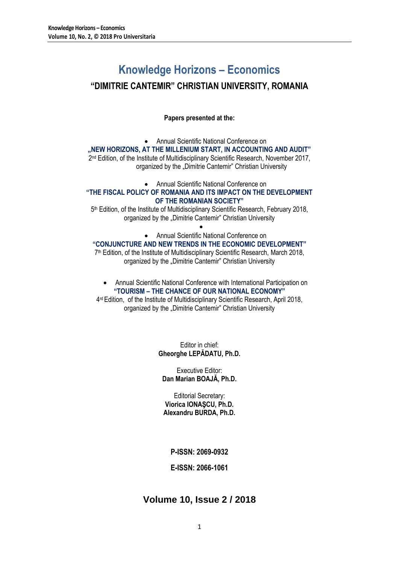# **Knowledge Horizons – Economics**

# **"DIMITRIE CANTEMIR" CHRISTIAN UNIVERSITY, ROMANIA**

**Papers presented at the:**

 Annual Scientific National Conference on **"NEW HORIZONS, AT THE MILLENIUM START, IN ACCOUNTING AND AUDIT"** 2<sup>nd</sup> Edition, of the Institute of Multidisciplinary Scientific Research, November 2017, organized by the "Dimitrie Cantemir" Christian University

Annual Scientific National Conference on

## **"THE FISCAL POLICY OF ROMANIA AND ITS IMPACT ON THE DEVELOPMENT OF THE ROMANIAN SOCIETY"**

5 th Edition, of the Institute of Multidisciplinary Scientific Research, February 2018, organized by the "Dimitrie Cantemir" Christian University  $\bullet$ 

## Annual Scientific National Conference on

## **"CONJUNCTURE AND NEW TRENDS IN THE ECONOMIC DEVELOPMENT"**

7 th Edition, of the Institute of Multidisciplinary Scientific Research, March 2018, organized by the "Dimitrie Cantemir" Christian University

 Annual Scientific National Conference with International Participation on **"TOURISM – THE CHANCE OF OUR NATIONAL ECONOMY"**

4<sup>rd</sup> Edition, of the Institute of Multidisciplinary Scientific Research, April 2018, organized by the "Dimitrie Cantemir" Christian University

> Editor in chief: **Gheorghe LEPĂDATU, Ph.D.**

Executive Editor: **Dan Marian BOAJĂ, Ph.D.**

Editorial Secretary: **Viorica IONAŞCU, Ph.D. Alexandru BURDA, Ph.D.**

**P-ISSN: 2069-0932**

**E-ISSN: 2066-1061**

## **Volume 10, Issue 2 / 2018**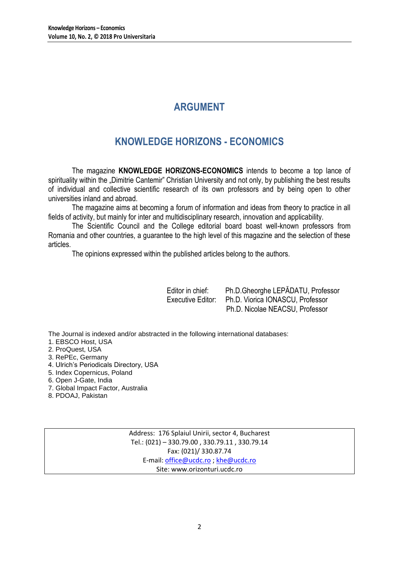# **ARGUMENT**

# **KNOWLEDGE HORIZONS - ECONOMICS**

The magazine **KNOWLEDGE HORIZONS-ECONOMICS** intends to become a top lance of spirituality within the "Dimitrie Cantemir" Christian University and not only, by publishing the best results of individual and collective scientific research of its own professors and by being open to other universities inland and abroad.

The magazine aims at becoming a forum of information and ideas from theory to practice in all fields of activity, but mainly for inter and multidisciplinary research, innovation and applicability.

The Scientific Council and the College editorial board boast well-known professors from Romania and other countries, a guarantee to the high level of this magazine and the selection of these articles.

The opinions expressed within the published articles belong to the authors.

| Editor in chief:  | Ph.D.Gheorghe LEPĂDATU, Professor |
|-------------------|-----------------------------------|
| Executive Editor: | Ph.D. Viorica IONASCU, Professor  |
|                   | Ph.D. Nicolae NEACSU, Professor   |

The Journal is indexed and/or abstracted in the following international databases:

- 1. EBSCO Host, USA
- 2. ProQuest, USA
- 3. RePEc, Germany
- 4. Ulrich's Periodicals Directory, USA
- 5. Index Copernicus, Poland
- 6. Open J-Gate, India
- 7. Global Impact Factor, Australia
- 8. PDOAJ, Pakistan

Address: 176 Splaiul Unirii, sector 4, Bucharest Tel.: (021) – 330.79.00 , 330.79.11 , 330.79.14 Fax: (021)/ 330.87.74 E-mail[: office@ucdc.ro](mailto:office@ucdc.ro) [; khe@ucdc.ro](mailto:khe@ucdc.ro) Site: www.orizonturi.ucdc.ro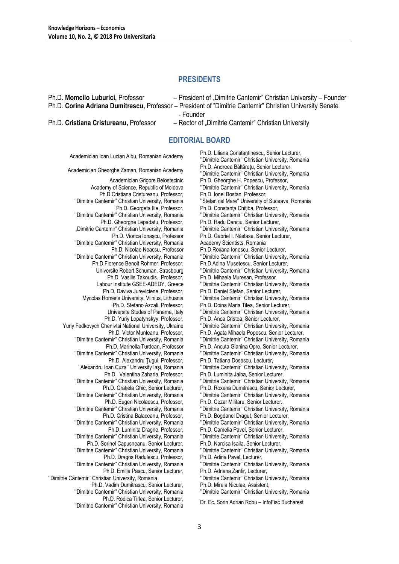## **PRESIDENTS**

| Ph.D. Momcilo Luburici, Professor      | - President of "Dimitrie Cantemir" Christian University - Founder                                         |
|----------------------------------------|-----------------------------------------------------------------------------------------------------------|
|                                        | Ph.D. Corina Adriana Dumitrescu, Professor – President of "Dimitrie Cantemir" Christian University Senate |
|                                        | - Founder                                                                                                 |
| Ph.D. Cristiana Cristureanu, Professor | - Rector of "Dimitrie Cantemir" Christian University                                                      |
|                                        |                                                                                                           |

## **EDITORIAL BOARD**

Academician Ioan Lucian Albu, Romanian Academy Ph.D. Liliana Constantinescu, Senior Lecturer, ''Dimitrie Cantemir'' Christian University, Romania Ph.D. Andreea Băltărețu, Senior Lecturer,<br>Academician Gheorghe Zaman, Romanian Academy Philatitic Centemicii Christian University F ''Dimitrie Cantemir'' Christian University, Romania Academician Grigore Belostecinic Academy of Science, Republic of Moldova Ph.D. Gheorghe H. Popescu, Professor, ''Dimitrie Cantemir'' Christian University, Romania Ph.D.Cristiana Cristureanu, Professor, ''Dimitrie Cantemir'' Christian University, Romania Ph.D. Ionel Bostan, Professor, ''Stefan cel Mare'' University of Suceava, Romania Ph.D. Georgeta Ilie, Professor, ''Dimitrie Cantemir'' Christian University, Romania Ph.D. Constanța Chițiba, Professor, ''Dimitrie Cantemir'' Christian University, Romania Ph.D. Gheorghe Lepadatu, Professor, "Dimitrie Cantemir" Christian University, Romania Ph.D. Radu Danciu, Senior Lecturer, ''Dimitrie Cantemir'' Christian University, Romania Ph.D. Viorica Ionaşcu, Professor ''Dimitrie Cantemir'' Christian University, Romania Ph.D. Gabriel I. Năstase, Senior Lecturer, Academy Scientists, Romania Ph.D. Nicolae Neacsu, Professor ''Dimitrie Cantemir'' Christian University, Romania Ph.D.Roxana Ionescu, Senior Lecturer, ''Dimitrie Cantemir'' Christian University, Romania Ph.D.Florence Benoit Rohmer, Professor, Universite Robert Schuman, Strasbourg Ph.D.Adina Musetescu, Senior Lecturer, ''Dimitrie Cantemir'' Christian University, Romania Ph.D. Vasilis Takoudis., Professor, Labour Institute GSEE-ADEDY, Greece Ph.D. Mihaela Muresan, Professor ''Dimitrie Cantemir'' Christian University, Romania Ph.D. Daviva Jureviciene, Professor, Mycolas Romeris University, Vilnius, Lithuania Ph.D. Daniel Stefan, Senior Lecturer, ''Dimitrie Cantemir'' Christian University, Romania Ph.D. Stefano Azzali, Professor, Universita Studes of Panama, Italy Ph.D. Doina Maria Tilea, Senior Lecturer, ''Dimitrie Cantemir'' Christian University, Romania Ph.D. Yuriy Lopatynskyy, Professor, Yuriy Fedkovych Chenivtsi National University, Ukraine Ph.D. Anca Cristea, Senior Lecturer, ''Dimitrie Cantemir'' Christian University, Romania Ph.D. Victor Munteanu, Professor, ''Dimitrie Cantemir'' Christian University, Romania Ph.D. Agata Mihaela Popescu, Senior Lecturer, ''Dimitrie Cantemir'' Christian University, Romania Ph.D. Marinella Turdean, Professor ''Dimitrie Cantemir'' Christian University, Romania Ph.D. Ancuta Gianina Opre, Senior Lecturer, ''Dimitrie Cantemir'' Christian University, Romania Ph.D. Alexandru Ţugui, Professor, ''Alexandru Ioan Cuza'' University Iaşi, Romania Ph.D. Tatiana Dosescu, Lecturer, ''Dimitrie Cantemir'' Christian University, Romania Ph.D. Valentina Zaharia, Professor, ''Dimitrie Cantemir'' Christian University, Romania Ph.D. Luminita Jalba, Senior Lecturer, ''Dimitrie Cantemir'' Christian University, Romania Ph.D. Gratiela Ghic, Senior Lecturer, ''Dimitrie Cantemir'' Christian University, Romania Ph.D. Roxana Dumitrascu, Senior Lecturer, ''Dimitrie Cantemir'' Christian University, Romania Ph.D. Eugen Nicolaescu, Professor, ''Dimitrie Cantemir'' Christian University, Romania Ph.D. Cezar Militaru, Senior Lecturer., ''Dimitrie Cantemir'' Christian University, Romania Ph.D. Cristina Balaceanu, Professor, ''Dimitrie Cantemir'' Christian University, Romania Ph.D. Bogdanel Dragut, Senior Lecturer, ''Dimitrie Cantemir'' Christian University, Romania Ph.D. Luminita Dragne, Professor, ''Dimitrie Cantemir'' Christian University, Romania Ph.D. Camelia Pavel, Senior Lecturer, ''Dimitrie Cantemir'' Christian University, Romania Ph.D. Sorinel Capusneanu, Senior Lecturer, ''Dimitrie Cantemir'' Christian University, Romania Ph.D. Narcisa Isaila, Senior Lecturer, ''Dimitrie Cantemir'' Christian University, Romania Ph.D. Dragos Radulescu, Professor, ''Dimitrie Cantemir'' Christian University, Romania Ph.D. Adina Pavel, Lecturer, ''Dimitrie Cantemir'' Christian University, Romania Ph.D. Emilia Pascu, Senior Lecturer, ''Dimitrie Cantemir'' Christian University, Romania Ph.D. Adriana Zanfir, Lecturer, ''Dimitrie Cantemir'' Christian University, Romania Ph.D. Vadim Dumitrascu, Senior Lecturer, ''Dimitrie Cantemir'' Christian University, Romania Ph.D. Mirela Niculae, Assistent, ''Dimitrie Cantemir'' Christian University, Romania Ph.D. Rodica Tirlea, Senior Lecturer, ''Dimitrie Cantemir'' Christian University, Romania Dr. Ec. Sorin Adrian Robu – InfoFisc Bucharest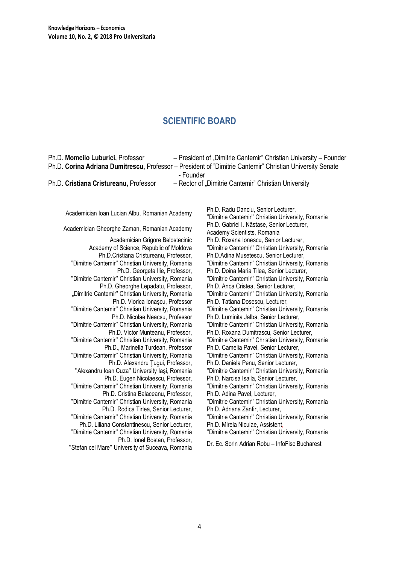# **SCIENTIFIC BOARD**

| Ph.D. Momcilo Luburici, Professor<br>Ph.D. Corina Adriana Dumitrescu, Professor - President of "Dimitrie Cantemir" Christian University Senate                                                                                                                                                                                                                                                                                                                                                                                                                                                                                                                                                                                                                                                                                                                                                                                                                                                                                                                                                                                                                                                                                    | - President of "Dimitrie Cantemir" Christian University - Founder                                                                                                                                                                                                                                                                                                                                                                                                                                                                                                                                                                                                                                                                                                                                                                                                                                                                                                                                                                                                                                                                                                                                                                                                                                                                   |
|-----------------------------------------------------------------------------------------------------------------------------------------------------------------------------------------------------------------------------------------------------------------------------------------------------------------------------------------------------------------------------------------------------------------------------------------------------------------------------------------------------------------------------------------------------------------------------------------------------------------------------------------------------------------------------------------------------------------------------------------------------------------------------------------------------------------------------------------------------------------------------------------------------------------------------------------------------------------------------------------------------------------------------------------------------------------------------------------------------------------------------------------------------------------------------------------------------------------------------------|-------------------------------------------------------------------------------------------------------------------------------------------------------------------------------------------------------------------------------------------------------------------------------------------------------------------------------------------------------------------------------------------------------------------------------------------------------------------------------------------------------------------------------------------------------------------------------------------------------------------------------------------------------------------------------------------------------------------------------------------------------------------------------------------------------------------------------------------------------------------------------------------------------------------------------------------------------------------------------------------------------------------------------------------------------------------------------------------------------------------------------------------------------------------------------------------------------------------------------------------------------------------------------------------------------------------------------------|
| Ph.D. Cristiana Cristureanu, Professor                                                                                                                                                                                                                                                                                                                                                                                                                                                                                                                                                                                                                                                                                                                                                                                                                                                                                                                                                                                                                                                                                                                                                                                            | - Rector of "Dimitrie Cantemir" Christian University                                                                                                                                                                                                                                                                                                                                                                                                                                                                                                                                                                                                                                                                                                                                                                                                                                                                                                                                                                                                                                                                                                                                                                                                                                                                                |
| - Founder<br>Academician Ioan Lucian Albu, Romanian Academy<br>Academician Gheorghe Zaman, Romanian Academy<br>Academician Grigore Belostecinic<br>Academy of Science, Republic of Moldova<br>Ph.D.Cristiana Cristureanu, Professor,<br>"Dimitrie Cantemir" Christian University, Romania<br>Ph.D. Georgeta Ilie, Professor,<br>"Dimitrie Cantemir" Christian University, Romania<br>Ph.D. Gheorghe Lepadatu, Professor,<br>"Dimitrie Cantemir" Christian University, Romania<br>Ph.D. Viorica Ionașcu, Professor<br>"Dimitrie Cantemir" Christian University, Romania<br>Ph.D. Nicolae Neacsu, Professor<br>"Dimitrie Cantemir" Christian University, Romania<br>Ph.D. Victor Munteanu, Professor,<br>"Dimitrie Cantemir" Christian University, Romania<br>Ph.D., Marinella Turdean, Professor<br>"Dimitrie Cantemir" Christian University, Romania<br>Ph.D. Alexandru Tugui, Professor,<br>"Alexandru Ioan Cuza" University Iași, Romania<br>Ph.D. Eugen Nicolaescu, Professor,<br>"Dimitrie Cantemir" Christian University, Romania<br>Ph.D. Cristina Balaceanu, Professor,<br>"Dimitrie Cantemir" Christian University, Romania<br>Ph.D. Rodica Tirlea, Senior Lecturer,<br>"Dimitrie Cantemir" Christian University, Romania | Ph.D. Radu Danciu, Senior Lecturer,<br>"Dimitrie Cantemir" Christian University, Romania<br>Ph.D. Gabriel I. Năstase, Senior Lecturer,<br>Academy Scientists, Romania<br>Ph.D. Roxana Ionescu, Senior Lecturer,<br>"Dimitrie Cantemir" Christian University, Romania<br>Ph.D.Adina Musetescu, Senior Lecturer,<br>"Dimitrie Cantemir" Christian University, Romania<br>Ph.D. Doina Maria Tilea, Senior Lecturer,<br>"Dimitrie Cantemir" Christian University, Romania<br>Ph.D. Anca Cristea, Senior Lecturer,<br>"Dimitrie Cantemir" Christian University, Romania<br>Ph.D. Tatiana Dosescu, Lecturer,<br>"Dimitrie Cantemir" Christian University, Romania<br>Ph.D. Luminita Jalba, Senior Lecturer,<br>"Dimitrie Cantemir" Christian University, Romania<br>Ph.D. Roxana Dumitrascu, Senior Lecturer,<br>"Dimitrie Cantemir" Christian University, Romania<br>Ph.D. Camelia Pavel, Senior Lecturer,<br>"Dimitrie Cantemir" Christian University, Romania<br>Ph.D. Daniela Penu, Senior Lecturer,<br>"Dimitrie Cantemir" Christian University, Romania<br>Ph.D. Narcisa Isaila, Senior Lecturer,<br>"Dimitrie Cantemir" Christian University, Romania<br>Ph.D. Adina Pavel, Lecturer,<br>"Dimitrie Cantemir" Christian University, Romania<br>Ph.D. Adriana Zanfir, Lecturer,<br>"Dimitrie Cantemir" Christian University, Romania |
| Ph.D. Liliana Constantinescu, Senior Lecturer,                                                                                                                                                                                                                                                                                                                                                                                                                                                                                                                                                                                                                                                                                                                                                                                                                                                                                                                                                                                                                                                                                                                                                                                    | Ph.D. Mirela Niculae, Assistent,                                                                                                                                                                                                                                                                                                                                                                                                                                                                                                                                                                                                                                                                                                                                                                                                                                                                                                                                                                                                                                                                                                                                                                                                                                                                                                    |
| "Dimitrie Cantemir" Christian University, Romania                                                                                                                                                                                                                                                                                                                                                                                                                                                                                                                                                                                                                                                                                                                                                                                                                                                                                                                                                                                                                                                                                                                                                                                 | "Dimitrie Cantemir" Christian University, Romania                                                                                                                                                                                                                                                                                                                                                                                                                                                                                                                                                                                                                                                                                                                                                                                                                                                                                                                                                                                                                                                                                                                                                                                                                                                                                   |
| Ph.D. Ionel Bostan, Professor,<br>"Stefan cel Mare" University of Suceava, Romania                                                                                                                                                                                                                                                                                                                                                                                                                                                                                                                                                                                                                                                                                                                                                                                                                                                                                                                                                                                                                                                                                                                                                | Dr. Ec. Sorin Adrian Robu - InfoFisc Bucharest                                                                                                                                                                                                                                                                                                                                                                                                                                                                                                                                                                                                                                                                                                                                                                                                                                                                                                                                                                                                                                                                                                                                                                                                                                                                                      |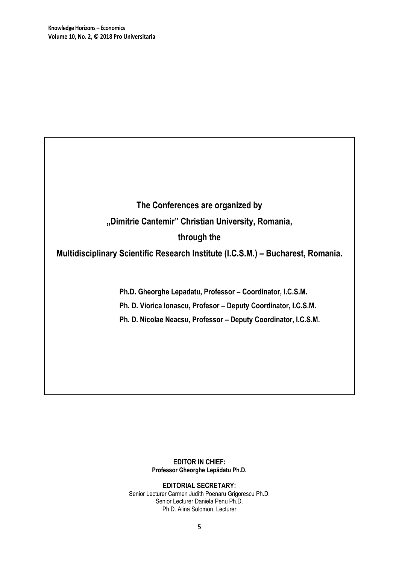# **The Conferences are organized by "Dimitrie Cantemir" Christian University, Romania, through the**

## **Multidisciplinary Scientific Research Institute (I.C.S.M.) – Bucharest, Romania.**

**Ph.D. Gheorghe Lepadatu, Professor – Coordinator, I.C.S.M.**

**Ph. D. Viorica Ionascu, Profesor – Deputy Coordinator, I.C.S.M.**

**Ph. D. Nicolae Neacsu, Professor – Deputy Coordinator, I.C.S.M.**

## **EDITOR IN CHIEF: Professor Gheorghe Lepădatu Ph.D.**

**EDITORIAL SECRETARY:** Senior Lecturer Carmen Judith Poenaru Grigorescu Ph.D. Senior Lecturer Daniela Penu Ph.D. Ph.D. Alina Solomon, Lecturer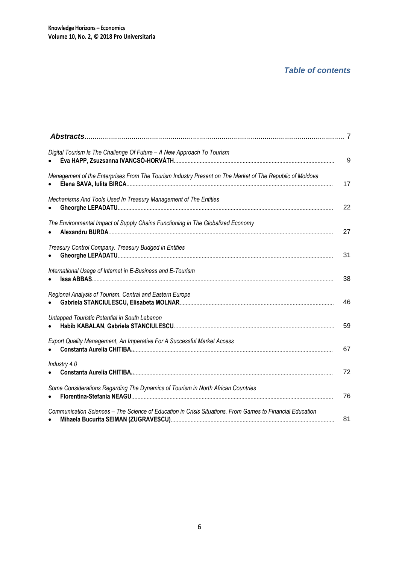## *Table of contents*

| Digital Tourism Is The Challenge Of Future - A New Approach To Tourism                                    | 9  |
|-----------------------------------------------------------------------------------------------------------|----|
| Management of the Enterprises From The Tourism Industry Present on The Market of The Republic of Moldova  | 17 |
| Mechanisms And Tools Used In Treasury Management of The Entities                                          | 22 |
| The Environmental Impact of Supply Chains Functioning in The Globalized Economy                           | 27 |
| Treasury Control Company. Treasury Budged in Entities<br>$\bullet$                                        | 31 |
| International Usage of Internet in E-Business and E-Tourism                                               | 38 |
| Regional Analysis of Tourism. Central and Eastern Europe                                                  | 46 |
| Untapped Touristic Potential in South Lebanon                                                             | 59 |
| Export Quality Management, An Imperative For A Successful Market Access                                   | 67 |
| Industry 4.0                                                                                              | 72 |
| Some Considerations Regarding The Dynamics of Tourism in North African Countries                          | 76 |
| Communication Sciences - The Science of Education in Crisis Situations. From Games to Financial Education | 81 |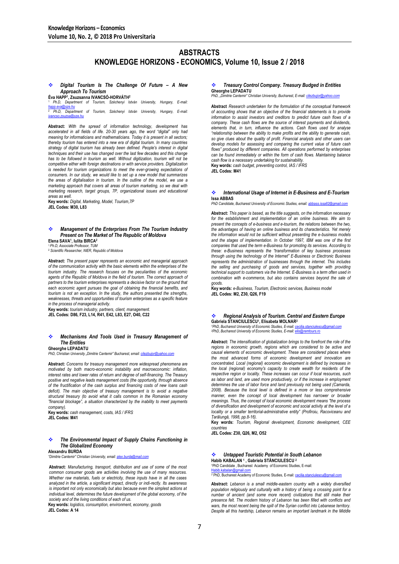## **ABSTRACTS KNOWLEDGE HORIZONS - ECONOMICS, Volume 10, Issue 2 / 2018**

#### *Digital Tourism Is The Challenge Of Future – A New Approach To Tourism*

**Éva HAPP<sup>1</sup> , Zsuzsanna IVANCSÓ-HORVÁTH<sup>2</sup>**

<sup>1</sup>*Ph.D, Department of Tourism, Széchenyi István University, Hungary, E-mail: [happ.eva@sze.hu](mailto:happ.eva@sze.hu)* <sup>2</sup> *Ph.D, Department of Tourism, Széchenyi István University, Hungary, E-mail:* 

*[ivancso.zsuzsa@sze.hu](mailto:ivancso.zsuzsa@sze.hu)*

**Abstract:** *With the spread of information technology, development has accelerated in all fields of life. 20-30 years ago, the word "digital" only had meaning for informaticians and mathematicians. Today it is present in all sectors; thereby tourism has entered into a new era of digital tourism. In many countries strategy of digital tourism has already been defined. People's interest in digital techniques and their use has changed over the last few decades and this change has to be followed in tourism as well. Without digitization, tourism will not be competitive either with foreign destinations or with service providers. Digitalization is needed for tourism organizations to meet the ever-growing expectations of consumers. In our study, we would like to set up a new model that summarizes the areas of digitalisation in tourism. In the outline of the model, we use a marketing approach that covers all areas of tourism marketing, so we deal with marketing research, target groups, 7P, organizational issues and educational areas as well.*

**Key words:** *Digital, Marketing, Model, Tourism,7P* **JEL Codes: M30, L83**

### *Management of the Enterprises From The Tourism Industry Present on The Market of The Republic of Moldova*

**Elena SAVA<sup>1</sup> , Iulita BIRCA<sup>2</sup>** <sup>1</sup>*Ph.D, Associate Professor, TUM*

<sup>2</sup> *Scientific Researcher, NIER, Republic of Moldova*

**Abstract:** *The present paper represents an economic and managerial approach of the communication activity with the basic elements within the enterprises of the tourism industry. The research focuses on the peculiarities of the economic*  agents of the Republic of Moldova in the field of tourism. The correct approach of *partners to the tourism enterprises represents a decisive factor on the ground that each economic agent pursues the goal of obtaining the financial benefits, and tourism is not an exception. In the study, the authors presented the strengths, weaknesses, threats and opportunities of tourism enterprises as a specific feature in the process of managerial activity.*

**Key words:** *tourism industry, partners, client, management.* **JEL Codes: D86, F23, L14, R41, E42, L83, E27, O40, C22**

#### *Mechanisms And Tools Used in Treasury Management of The Entities* **Gheorghe LEPADATU**

*PhD, Christian University "Dimitrie Cantemir" Bucharest, email: <i>cilezbujor@yah* 

**Abstract:** *Concerns for treasury management more widespread phenomena are motivated by both macro-economic instability and macroeconomic: inflation, interest rates and lower rates of return and degree of self-financing. The Treasury positive and negative leads management costs (the opportunity, through absence of the fructification of the cash surplus and financing costs of new loans cash*  deficit). The main objective of treasury management is to avoid a negative *structural treasury (to avoid what it calls common in the Romanian economy "financial blockage", a situation characterized by the inability to meet payments company).* 

**Key words:** *cash management, costs, IAS / IFRS* **JEL Codes: M41**

#### *The Environmental Impact of Supply Chains Functioning in The Globalized Economy* **Alexandru BURDA**

*"Dimitrie Cantemir" Christian University, email: [alex.burda@mail.com](mailto:alex.burda@mail.com)*

**Abstract:** *Manufacturing, transport, distribution and use of some of the most common consumer goods are activities involving the use of many resources. Whether raw materials, fuels or electricity, these inputs have in all the cases analyzed in the article, a significant impact, directly or indi-rectly. Its awareness is important not only economically but also because even the simplest actions at individual level, determines the future development of the global economy, of the society and of the living conditions of each of us.*

**Key words:** *logistics, consumption, environment, economy, goods*

**JEL Codes: A 14**

### *Treasury Control Company. Treasury Budged in Entities* **Gheorghe LEPADATU** *PhD, "Dimitrie Cantemir" Christian University, Bucharest, E-mail[: cilezbujor@yahoo.com](mailto:cilezbujor@yahoo.com)*

**Abstract** *Research undertaken for the formulation of the conceptual framework of accounting shows that an objective of the financial statements is to provide information to assist investors and creditors to predict future cash flows of a company. These cash flows are the source of interest payments and dividends, elements that, in turn, influence the actions. Cash flows used for analyse "relationship between the ability to make profits and the ability to generate cash, so give clues about the quality of profit. Financial analysts and other users can develop models for assessing and comparing the current value of future cash flows" produced by different companies. All operations performed by enterprises can be found immediately or within the form of cash flows. Maintaining balance cash flow is a necessary undertaking for sustainability.*

**Key words:** *cash budget, preventing control, IAS / IFRS* **JEL Codes: M41**

#### *International Usage of Internet in E-Business and E-Tourism* **Issa ABBAS**

**PhD Candidate, Bucharest University of Economic Studies, email: abb.** 

**Abstract:** *This paper is based, as the title suggests, on the information necessary*  for the establishment and implementation of an online business. We aim to present the concepts of e-business and e-tourism, the relations between the two, *the advantages of having an online business and its characteristics. Yet merely the information would not be sufficient without presenting the e-business models and the stages of implementation. In October 1997, IBM was one of the first companies that used the term e-Business for promoting its services. According to these: e-Business represents the "transformation of key business processes through using the technology of the Internet" E-Business or Electronic Business represents the administration of businesses through the internet. This includes*  the selling and purchasing of goods and services, together with providing *technical support to customers via the Internet. E-Business is a term often used in combination with e-commerce, but also contains services beyond the sale of goods.*

**Key words:** *e-Business, Tourism, Electronic services, Business model* **JEL Codes: M2, Z30, Q26, F19**

#### *Regional Analysis of Tourism. Central and Eastern Europe* **Gabriela STANCIULESCU<sup>1</sup> , Elisabeta MOLNAR<sup>2</sup>**

*<sup>1</sup>PhD, Bucharest University of Economic Studies, E-mail[: cecilia.stanciulescu@gmail.com](mailto:cecilia.stanciulescu@gmail.com) <sup>2</sup>PhD, Bucharest University of Economic Studies, E-mail[: elis@remtours.ro](mailto:elis@remtours.ro)*

**Abstract:** *The intensification of globalization brings to the forefront the role of the*  regions in economic growth, regions which are considered to be active and *causal elements of economic development. These are considered places where the most advanced forms of economic development and innovation are concentrated. Local (regional) economic development is defined by increases in the local (regional) economy's capacity to create wealth for residents of the respective region or locality. These increases can occur if local resources, such as labor and land, are used more productively, or if the increase in employment determines the use of labor force and land previously not being used (Camarda, 2008). Because the local level is defined in a more or less comprehensive manner, even the concept of local development has narrower or broader meanings. Thus, the concept of local economic development means "the process of diversification and development of economic and social activity at the level of a locality or a smaller territorial-administrative entity" (Profiroiu, Racoviceanu and Țarălungă, 1998, pp.8-16).*

**Key words:** *Tourism, Regional development, Economic development, CEE countries*

**JEL Codes: Z30, Q26, M2, O52**

#### *Untapped Touristic Potential in South Lebanon* **Habib KABALAN <sup>1</sup> , Gabriela STĂNCIULESCU <sup>2</sup>**

<sup>1</sup>PhD Candidate, Bucharest Academy of Economic Studies, E-mail:<br>[Habib.kabalan@gmail.com](mailto:Habib.kabalan@gmail.com)

<sup>2</sup> PhD, Bucharest Academy of Economic Studies, E-mail: cecilia

**Abstract:** *Lebanon is a small middle-eastern country with a widely diversified population religiously and culturally with a history of being a crossing point for a number of ancient (and some more recent) civilizations that still make their presence felt. The modern history of Lebanon has been filled with conflicts and*  wars, the most recent being the spill of the Syrian conflict into Lebanese territory. *Despite all this hardship, Lebanon remains an important landmark in the Middle*